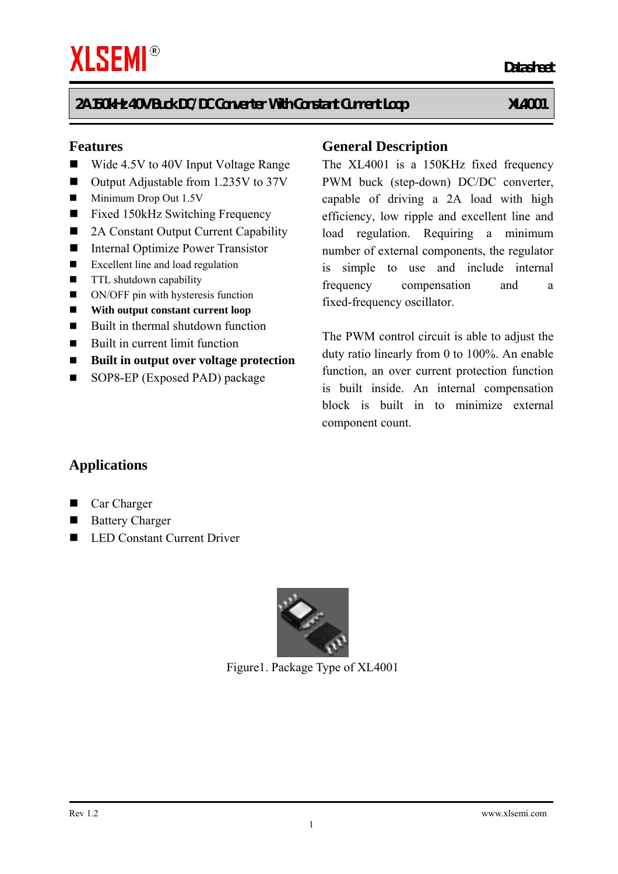#### **Features**

- Wide 4.5V to 40V Input Voltage Range
- Output Adjustable from 1.235V to 37V
- $\blacksquare$  Minimum Drop Out 1.5V
- Fixed 150kHz Switching Frequency
- 2A Constant Output Current Capability
- Internal Optimize Power Transistor
- Excellent line and load regulation
- **TTL** shutdown capability
- ON/OFF pin with hysteresis function
- **With output constant current loop**
- $\blacksquare$  Built in thermal shutdown function
- Built in current limit function
- **Built in output over voltage protection**
- SOP8-EP (Exposed PAD) package

#### **General Description**

The XL4001 is a 150KHz fixed frequency PWM buck (step-down) DC/DC converter, capable of driving a 2A load with high efficiency, low ripple and excellent line and load regulation. Requiring a minimum number of external components, the regulator is simple to use and include internal frequency compensation and a fixed-frequency oscillator.

The PWM control circuit is able to adjust the duty ratio linearly from 0 to 100%. An enable function, an over current protection function is built inside. An internal compensation block is built in to minimize external component count.

### **Applications**

- Car Charger
- **Battery Charger**
- LED Constant Current Driver



Figure1. Package Type of XL4001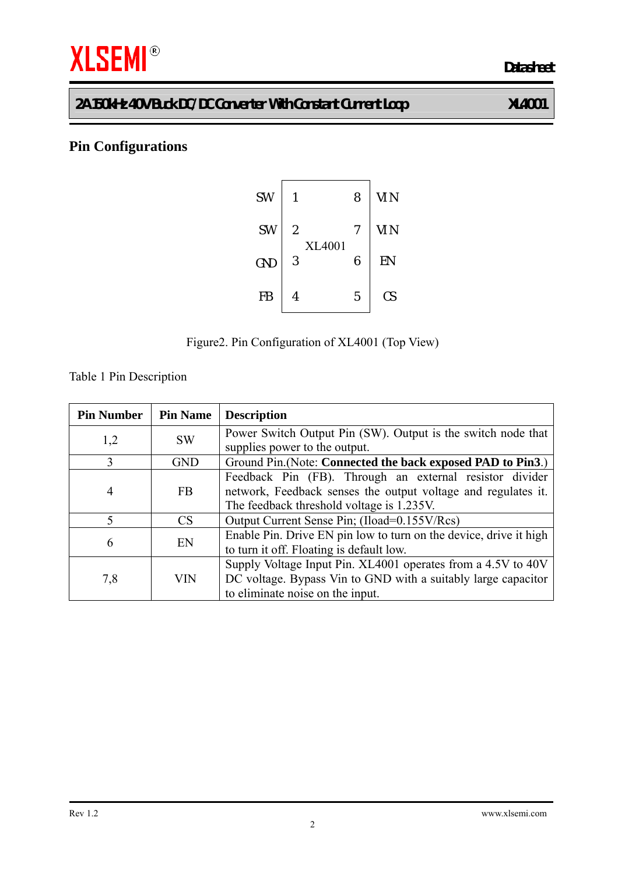# **THE SEMI<sup>®</sup>**

# **Pin Configurations**





Table 1 Pin Description

| <b>Pin Number</b>        | <b>Pin Name</b> | <b>Description</b>                                                                                                                                                    |
|--------------------------|-----------------|-----------------------------------------------------------------------------------------------------------------------------------------------------------------------|
| 1,2                      | <b>SW</b>       | Power Switch Output Pin (SW). Output is the switch node that<br>supplies power to the output.                                                                         |
| 3                        | <b>GND</b>      | Ground Pin. (Note: Connected the back exposed PAD to Pin3.)                                                                                                           |
| 4                        | <b>FB</b>       | Feedback Pin (FB). Through an external resistor divider<br>network, Feedback senses the output voltage and regulates it.<br>The feedback threshold voltage is 1.235V. |
| $\overline{\mathcal{L}}$ | <b>CS</b>       | Output Current Sense Pin; (Iload=0.155V/Rcs)                                                                                                                          |
| 6                        | EN              | Enable Pin. Drive EN pin low to turn on the device, drive it high<br>to turn it off. Floating is default low.                                                         |
| 7,8                      | VIN             | Supply Voltage Input Pin. XL4001 operates from a 4.5V to 40V<br>DC voltage. Bypass Vin to GND with a suitably large capacitor<br>to eliminate noise on the input.     |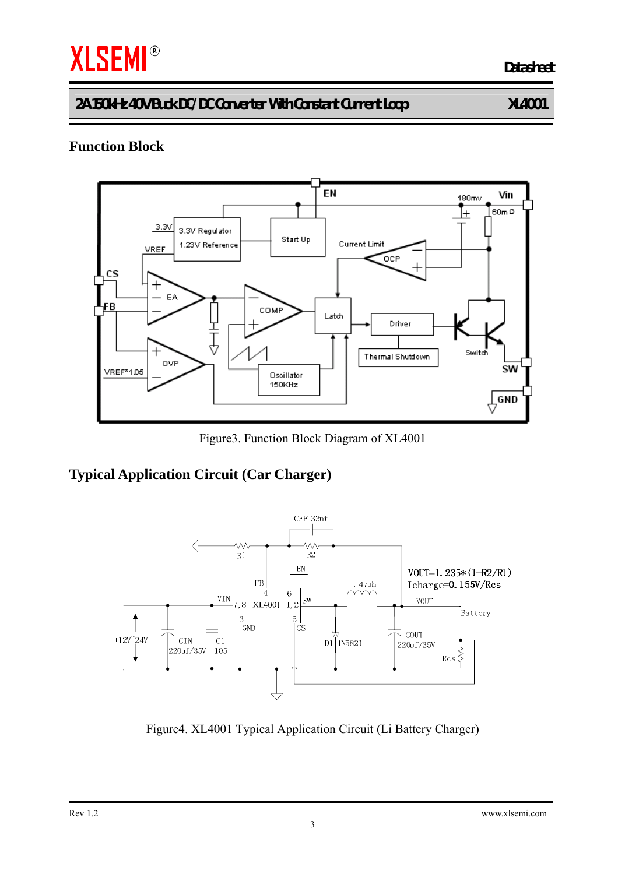# **THE SEMI<sup>®</sup>**

**2A 150kHz 40V Buck DC/DC Converter With Constant Current Loop XL4001** 

## **Function Block**



Figure3. Function Block Diagram of XL4001

### **Typical Application Circuit (Car Charger)**



Figure4. XL4001 Typical Application Circuit (Li Battery Charger)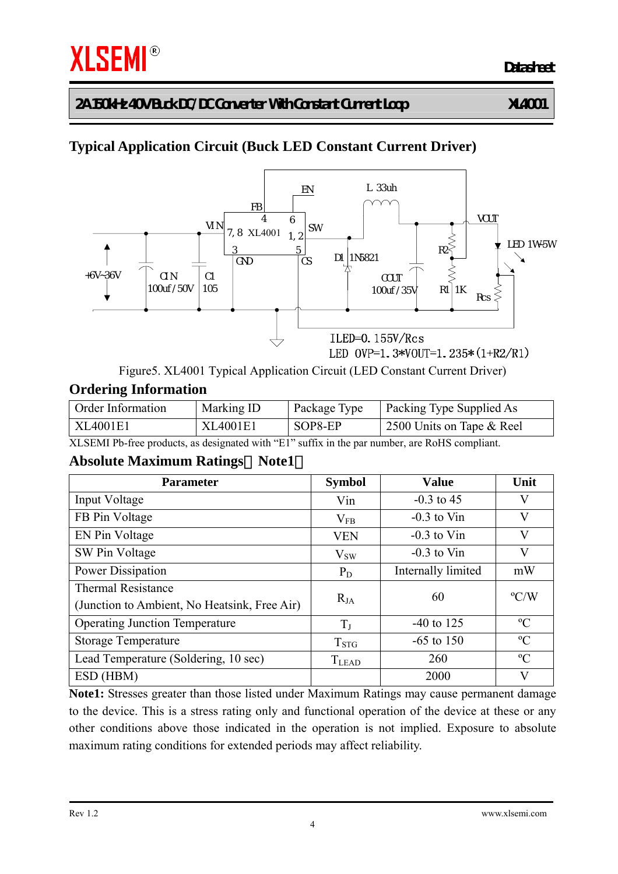# **Typical Application Circuit (Buck LED Constant Current Driver)**



Figure5. XL4001 Typical Application Circuit (LED Constant Current Driver)

#### **Ordering Information**

| Order Information | Marking ID | Package Type | Packing Type Supplied As  |
|-------------------|------------|--------------|---------------------------|
| XL4001E1          | XL4001E1   | SOP8-EP      | 2500 Units on Tape & Reel |

XLSEMI Pb-free products, as designated with "E1" suffix in the par number, are RoHS compliant.

#### **Absolute Maximum Ratings**(**Note1**)

| <b>Parameter</b>                             | <b>Symbol</b> | <b>Value</b>       | Unit          |
|----------------------------------------------|---------------|--------------------|---------------|
| Input Voltage                                | Vin           | $-0.3$ to 45       | V             |
| FB Pin Voltage                               | $\rm V_{FB}$  | $-0.3$ to Vin      | V             |
| EN Pin Voltage                               | <b>VEN</b>    | $-0.3$ to Vin      | V             |
| SW Pin Voltage                               | $V_{SW}$      | $-0.3$ to Vin      | V             |
| Power Dissipation                            | $P_D$         | Internally limited | mW            |
| <b>Thermal Resistance</b>                    |               | 60                 | $\rm ^{o}C/W$ |
| (Junction to Ambient, No Heatsink, Free Air) | $R_{JA}$      |                    |               |
| <b>Operating Junction Temperature</b>        | $T_{J}$       | $-40$ to 125       | $\rm ^{o}C$   |
| <b>Storage Temperature</b>                   | $T_{\rm STG}$ | $-65$ to 150       | $\rm ^{o}C$   |
| Lead Temperature (Soldering, 10 sec)         | <b>TLEAD</b>  | 260                | $\rm ^{o}C$   |
| ESD (HBM)                                    |               | 2000               | V             |

**Note1:** Stresses greater than those listed under Maximum Ratings may cause permanent damage to the device. This is a stress rating only and functional operation of the device at these or any other conditions above those indicated in the operation is not implied. Exposure to absolute maximum rating conditions for extended periods may affect reliability.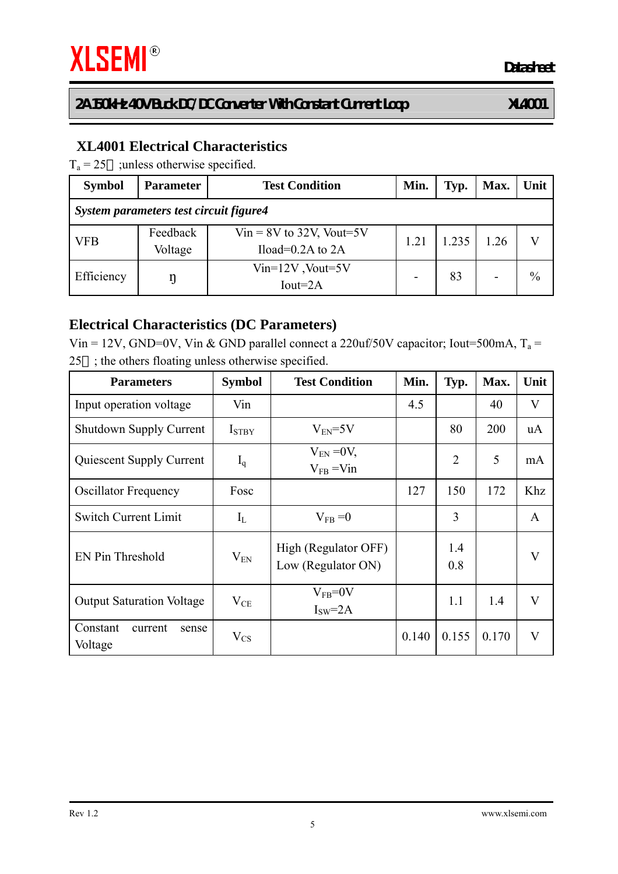### **XL4001 Electrical Characteristics**

 $T_a = 25$  ; unless otherwise specified.

| <b>Symbol</b>                          | <b>Parameter</b>    | <b>Test Condition</b>                               | Min. | Typ.  | Max. | Unit          |  |
|----------------------------------------|---------------------|-----------------------------------------------------|------|-------|------|---------------|--|
| System parameters test circuit figure4 |                     |                                                     |      |       |      |               |  |
| <b>VFB</b>                             | Feedback<br>Voltage | $Vir = 8V$ to 32V, Vout=5V<br>Iload= $0.2A$ to $2A$ | 1.21 | 1.235 | 1.26 |               |  |
| Efficiency                             |                     | $Vin=12V$ , Vout=5V<br>$Iout=2A$                    |      | 83    |      | $\frac{0}{0}$ |  |

#### **Electrical Characteristics (DC Parameters)**

Vin = 12V, GND=0V, Vin & GND parallel connect a 220uf/50V capacitor; Iout=500mA,  $T_a$  = 25 ; the others floating unless otherwise specified.

| <b>Parameters</b>                       | <b>Symbol</b>     | <b>Test Condition</b>                      | Min.  | Typ.           | Max.  | Unit                    |
|-----------------------------------------|-------------------|--------------------------------------------|-------|----------------|-------|-------------------------|
| Input operation voltage                 | Vin               |                                            | 4.5   |                | 40    | $\mathbf V$             |
| <b>Shutdown Supply Current</b>          | I <sub>STBY</sub> | $V_{EN}$ =5V                               |       | 80             | 200   | uA                      |
| <b>Quiescent Supply Current</b>         | $I_q$             | $V_{EN} = 0V$ ,<br>$V_{FB}$ = Vin          |       | $\overline{2}$ | 5     | mA                      |
| <b>Oscillator Frequency</b>             | Fosc              |                                            | 127   | 150            | 172   | Khz                     |
| <b>Switch Current Limit</b>             | $I_L$             | $V_{FB} = 0$                               |       | 3              |       | A                       |
| EN Pin Threshold                        | $V_{EN}$          | High (Regulator OFF)<br>Low (Regulator ON) |       | 1.4<br>0.8     |       | $\overline{\mathsf{V}}$ |
| <b>Output Saturation Voltage</b>        | $V_{CE}$          | $V_{FB} = 0V$<br>$ISW=2A$                  |       | 1.1            | 1.4   | $\mathbf V$             |
| Constant<br>current<br>sense<br>Voltage | $V_{CS}$          |                                            | 0.140 | 0.155          | 0.170 | V                       |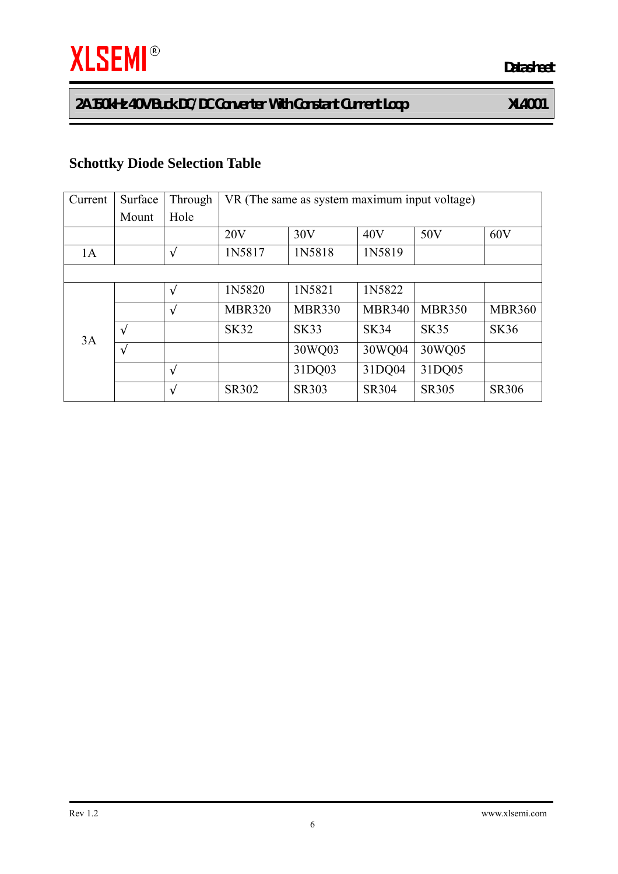## **Schottky Diode Selection Table**

| Current | Surface | Through | VR (The same as system maximum input voltage) |               |               |               |               |
|---------|---------|---------|-----------------------------------------------|---------------|---------------|---------------|---------------|
|         | Mount   | Hole    |                                               |               |               |               |               |
|         |         |         | 20V                                           | 30V           | 40V           | 50V           | 60V           |
| 1A      |         |         | 1N5817                                        | 1N5818        | 1N5819        |               |               |
|         |         |         |                                               |               |               |               |               |
| 3A      |         |         | 1N5820                                        | 1N5821        | 1N5822        |               |               |
|         |         |         | <b>MBR320</b>                                 | <b>MBR330</b> | <b>MBR340</b> | <b>MBR350</b> | <b>MBR360</b> |
|         |         |         | <b>SK32</b>                                   | <b>SK33</b>   | <b>SK34</b>   | <b>SK35</b>   | <b>SK36</b>   |
|         |         |         |                                               | 30WQ03        | 30WQ04        | 30WQ05        |               |
|         |         |         |                                               | 31DQ03        | 31DQ04        | 31DQ05        |               |
|         |         |         | SR302                                         | <b>SR303</b>  | <b>SR304</b>  | <b>SR305</b>  | <b>SR306</b>  |